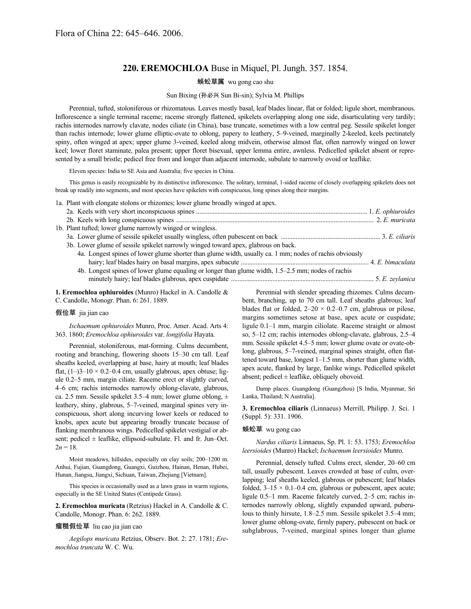# **220. EREMOCHLOA** Buse in Miquel, Pl. Jungh. 357. 1854.

## 蜈蚣草属 wu gong cao shu

#### Sun Bixing (孙必兴 Sun Bi-sin); Sylvia M. Phillips

Perennial, tufted, stoloniferous or rhizomatous. Leaves mostly basal, leaf blades linear, flat or folded; ligule short, membranous. Inflorescence a single terminal raceme; raceme strongly flattened, spikelets overlapping along one side, disarticulating very tardily; rachis internodes narrowly clavate, nodes ciliate (in China), base truncate, sometimes with a low central peg. Sessile spikelet longer than rachis internode; lower glume elliptic-ovate to oblong, papery to leathery, 5–9-veined, marginally 2-keeled, keels pectinately spiny, often winged at apex; upper glume 3-veined, keeled along midvein, otherwise almost flat, often narrowly winged on lower keel; lower floret staminate, palea present; upper floret bisexual, upper lemma entire, awnless. Pedicelled spikelet absent or represented by a small bristle; pedicel free from and longer than adjacent internode, subulate to narrowly ovoid or leaflike.

Eleven species: India to SE Asia and Australia; five species in China.

This genus is easily recognizable by its distinctive inflorescence. The solitary, terminal, 1-sided raceme of closely overlapping spikelets does not break up readily into segments, and most species have spikelets with conspicuous, long spines along their margins.

1a. Plant with elongate stolons or rhizomes; lower glume broadly winged at apex.

| 1b. Plant tufted; lower glume narrowly winged or wingless.                                              |  |
|---------------------------------------------------------------------------------------------------------|--|
|                                                                                                         |  |
| 3b. Lower glume of sessile spikelet narrowly winged toward apex, glabrous on back.                      |  |
| 4a. Longest spines of lower glume shorter than glume width, usually ca. 1 mm; nodes of rachis obviously |  |
|                                                                                                         |  |
| 4b. Longest spines of lower glume equaling or longer than glume width, 1.5–2.5 mm; nodes of rachis      |  |
|                                                                                                         |  |
|                                                                                                         |  |

**1. Eremochloa ophiuroides** (Munro) Hackel in A. Candolle &

C. Candolle, Monogr. Phan. 6: 261. 1889.

#### 假俭草 jia jian cao

*Ischaemum ophiuroides* Munro, Proc. Amer. Acad. Arts 4: 363. 1860; *Eremochloa ophiuroides* var. *longifolia* Hayata.

Perennial, stoloniferous, mat-forming. Culms decumbent, rooting and branching, flowering shoots 15–30 cm tall. Leaf sheaths keeled, overlapping at base, hairy at mouth; leaf blades flat,  $(1-3-10 \times 0.2-0.4$  cm, usually glabrous, apex obtuse; ligule 0.2–5 mm, margin ciliate. Raceme erect or slightly curved, 4–6 cm; rachis internodes narrowly oblong-clavate, glabrous, ca. 2.5 mm. Sessile spikelet 3.5–4 mm; lower glume oblong,  $\pm$ leathery, shiny, glabrous, 5–7-veined, marginal spines very inconspicuous, short along incurving lower keels or reduced to knobs, apex acute but appearing broadly truncate because of flanking membranous wings. Pedicelled spikelet vestigial or absent; pedicel  $\pm$  leaflike, ellipsoid-subulate. Fl. and fr. Jun–Oct.  $2n = 18$ .

Moist meadows, hillsides, especially on clay soils; 200–1200 m. Anhui, Fujian, Guangdong, Guangxi, Guizhou, Hainan, Henan, Hubei, Hunan, Jiangsu, Jiangxi, Sichuan, Taiwan, Zhejiang [Vietnam].

This species is occasionally used as a lawn grass in warm regions, especially in the SE United States (Centipede Grass).

**2. Eremochloa muricata** (Retzius) Hackel in A. Candolle & C. Candolle, Monogr. Phan. 6: 262. 1889.

#### 瘤糙假俭草 liu cao jia jian cao

*Aegilops muricata* Retzius, Observ. Bot. 2: 27. 1781; *Eremochloa truncata* W. C. Wu.

Perennial with slender spreading rhizomes. Culms decumbent, branching, up to 70 cm tall. Leaf sheaths glabrous; leaf blades flat or folded,  $2-20 \times 0.2-0.7$  cm, glabrous or pilose, margins sometimes setose at base, apex acute or cuspidate; ligule 0.1–1 mm, margin ciliolate. Raceme straight or almost so, 5–12 cm; rachis internodes oblong-clavate, glabrous, 2.5–4 mm. Sessile spikelet 4.5–5 mm; lower glume ovate or ovate-oblong, glabrous, 5–7-veined, marginal spines straight, often flattened toward base, longest 1–1.5 mm, shorter than glume width, apex acute, flanked by large, fanlike wings. Pedicelled spikelet absent; pedicel  $\pm$  leaflike, obliquely obovoid.

Damp places. Guangdong (Guangzhou) [S India, Myanmar, Sri Lanka, Thailand; N Australia].

**3. Eremochloa ciliaris** (Linnaeus) Merrill, Philipp. J. Sci. 1 (Suppl. 5): 331. 1906.

### 蜈蚣草 wu gong cao

*Nardus ciliaris* Linnaeus, Sp. Pl. 1: 53. 1753; *Eremochloa leersioides* (Munro) Hackel; *Ischaemum leersioides* Munro.

Perennial, densely tufted. Culms erect, slender, 20–60 cm tall, usually pubescent. Leaves crowded at base of culm, overlapping; leaf sheaths keeled, glabrous or pubescent; leaf blades folded,  $3-15 \times 0.1-0.4$  cm, glabrous or pubescent, apex acute; ligule 0.5–1 mm. Raceme falcately curved, 2–5 cm; rachis internodes narrowly oblong, slightly expanded upward, puberulous to thinly hirsute, 1.8–2.5 mm. Sessile spikelet 3.5–4 mm; lower glume oblong-ovate, firmly papery, pubescent on back or subglabrous, 7-veined, marginal spines longer than glume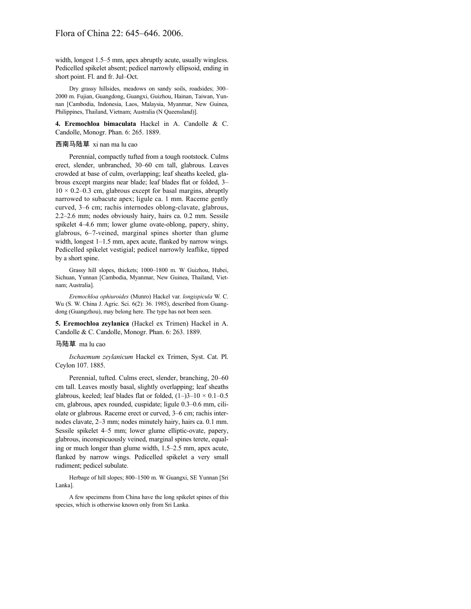## Flora of China 22: 645–646. 2006.

width, longest 1.5–5 mm, apex abruptly acute, usually wingless. Pedicelled spikelet absent; pedicel narrowly ellipsoid, ending in short point. Fl. and fr. Jul–Oct.

Dry grassy hillsides, meadows on sandy soils, roadsides; 300– 2000 m. Fujian, Guangdong, Guangxi, Guizhou, Hainan, Taiwan, Yunnan [Cambodia, Indonesia, Laos, Malaysia, Myanmar, New Guinea, Philippines, Thailand, Vietnam; Australia (N Queensland)].

**4. Eremochloa bimaculata** Hackel in A. Candolle & C. Candolle, Monogr. Phan. 6: 265. 1889.

#### 西南马陆草 xi nan ma lu cao

Perennial, compactly tufted from a tough rootstock. Culms erect, slender, unbranched, 30–60 cm tall, glabrous. Leaves crowded at base of culm, overlapping; leaf sheaths keeled, glabrous except margins near blade; leaf blades flat or folded, 3–  $10 \times 0.2{\text{-}}0.3$  cm, glabrous except for basal margins, abruptly narrowed to subacute apex; ligule ca. 1 mm. Raceme gently curved, 3–6 cm; rachis internodes oblong-clavate, glabrous, 2.2–2.6 mm; nodes obviously hairy, hairs ca. 0.2 mm. Sessile spikelet 4–4.6 mm; lower glume ovate-oblong, papery, shiny, glabrous, 6–7-veined, marginal spines shorter than glume width, longest 1–1.5 mm, apex acute, flanked by narrow wings. Pedicelled spikelet vestigial; pedicel narrowly leaflike, tipped by a short spine.

Grassy hill slopes, thickets; 1000–1800 m. W Guizhou, Hubei, Sichuan, Yunnan [Cambodia, Myanmar, New Guinea, Thailand, Vietnam; Australia].

*Eremochloa ophiuroides* (Munro) Hackel var. *longispicula* W. C. Wu (S. W. China J. Agric. Sci. 6(2): 36. 1985), described from Guangdong (Guangzhou), may belong here. The type has not been seen.

**5. Eremochloa zeylanica** (Hackel ex Trimen) Hackel in A. Candolle & C. Candolle, Monogr. Phan. 6: 263. 1889.

#### 马陆草 ma lu cao

*Ischaemum zeylanicum* Hackel ex Trimen, Syst. Cat. Pl. Ceylon 107. 1885.

Perennial, tufted. Culms erect, slender, branching, 20–60 cm tall. Leaves mostly basal, slightly overlapping; leaf sheaths glabrous, keeled; leaf blades flat or folded,  $(1–)3–10 \times 0.1–0.5$ cm, glabrous, apex rounded, cuspidate; ligule 0.3–0.6 mm, ciliolate or glabrous. Raceme erect or curved, 3–6 cm; rachis internodes clavate, 2–3 mm; nodes minutely hairy, hairs ca. 0.1 mm. Sessile spikelet 4–5 mm; lower glume elliptic-ovate, papery, glabrous, inconspicuously veined, marginal spines terete, equaling or much longer than glume width, 1.5–2.5 mm, apex acute, flanked by narrow wings. Pedicelled spikelet a very small rudiment; pedicel subulate.

Herbage of hill slopes; 800–1500 m. W Guangxi, SE Yunnan [Sri Lanka].

A few specimens from China have the long spikelet spines of this species, which is otherwise known only from Sri Lanka.